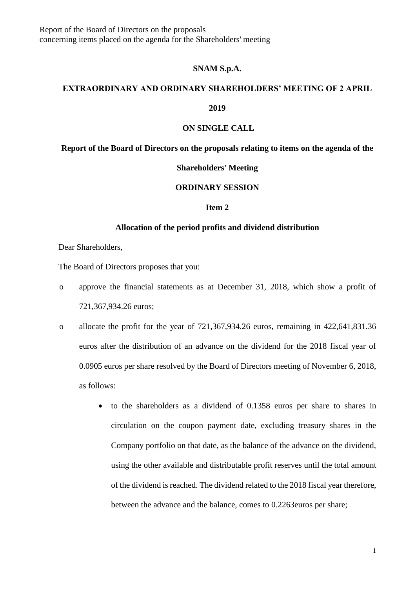Report of the Board of Directors on the proposals concerning items placed on the agenda for the Shareholders' meeting

#### **SNAM S.p.A.**

# **EXTRAORDINARY AND ORDINARY SHAREHOLDERS' MEETING OF 2 APRIL**

#### **2019**

## **ON SINGLE CALL**

### **Report of the Board of Directors on the proposals relating to items on the agenda of the**

# **Shareholders' Meeting**

# **ORDINARY SESSION**

# **Item 2**

## **Allocation of the period profits and dividend distribution**

Dear Shareholders,

The Board of Directors proposes that you:

- o approve the financial statements as at December 31, 2018, which show a profit of 721,367,934.26 euros;
- o allocate the profit for the year of 721,367,934.26 euros, remaining in 422,641,831.36 euros after the distribution of an advance on the dividend for the 2018 fiscal year of 0.0905 euros per share resolved by the Board of Directors meeting of November 6, 2018, as follows:
	- to the shareholders as a dividend of 0.1358 euros per share to shares in circulation on the coupon payment date, excluding treasury shares in the Company portfolio on that date, as the balance of the advance on the dividend, using the other available and distributable profit reserves until the total amount of the dividend is reached. The dividend related to the 2018 fiscal year therefore, between the advance and the balance, comes to 0.2263euros per share;